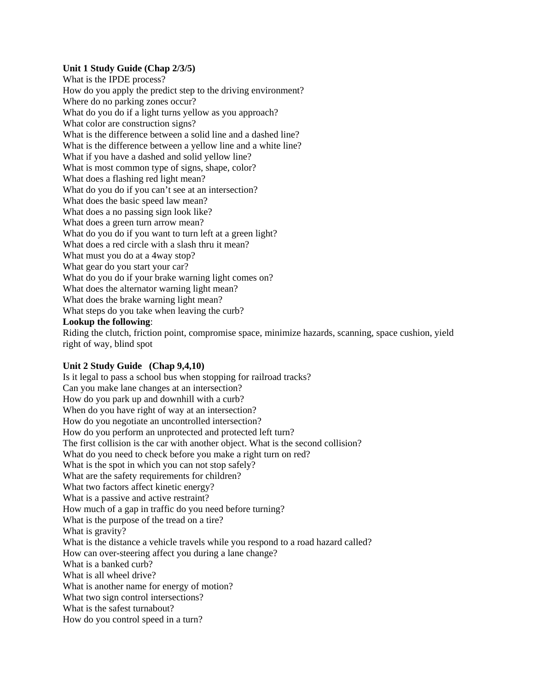#### **Unit 1 Study Guide (Chap 2/3/5)**

What is the IPDE process? How do you apply the predict step to the driving environment? Where do no parking zones occur? What do you do if a light turns yellow as you approach? What color are construction signs? What is the difference between a solid line and a dashed line? What is the difference between a yellow line and a white line? What if you have a dashed and solid yellow line? What is most common type of signs, shape, color? What does a flashing red light mean? What do you do if you can't see at an intersection? What does the basic speed law mean? What does a no passing sign look like? What does a green turn arrow mean? What do you do if you want to turn left at a green light? What does a red circle with a slash thru it mean? What must you do at a 4way stop? What gear do you start your car? What do you do if your brake warning light comes on? What does the alternator warning light mean? What does the brake warning light mean? What steps do you take when leaving the curb? **Lookup the following**:

Riding the clutch, friction point, compromise space, minimize hazards, scanning, space cushion, yield right of way, blind spot

#### **Unit 2 Study Guide (Chap 9,4,10)**

Is it legal to pass a school bus when stopping for railroad tracks? Can you make lane changes at an intersection? How do you park up and downhill with a curb? When do you have right of way at an intersection? How do you negotiate an uncontrolled intersection? How do you perform an unprotected and protected left turn? The first collision is the car with another object. What is the second collision? What do you need to check before you make a right turn on red? What is the spot in which you can not stop safely? What are the safety requirements for children? What two factors affect kinetic energy? What is a passive and active restraint? How much of a gap in traffic do you need before turning? What is the purpose of the tread on a tire? What is gravity? What is the distance a vehicle travels while you respond to a road hazard called? How can over-steering affect you during a lane change? What is a banked curb? What is all wheel drive? What is another name for energy of motion? What two sign control intersections? What is the safest turnabout? How do you control speed in a turn?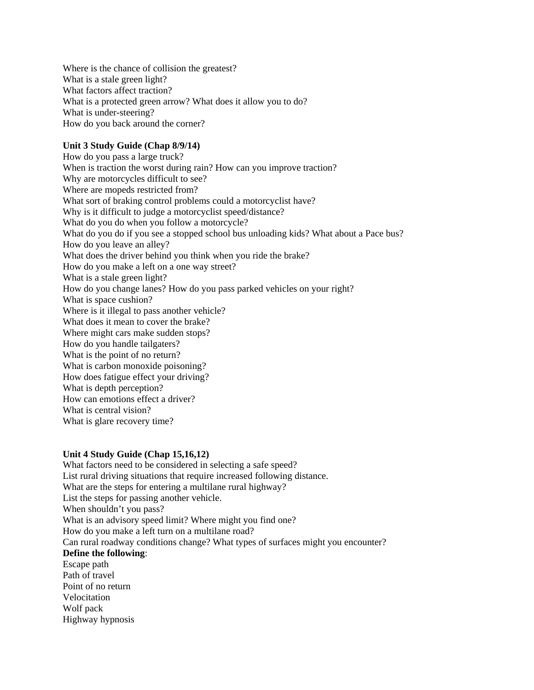Where is the chance of collision the greatest? What is a stale green light? What factors affect traction? What is a protected green arrow? What does it allow you to do? What is under-steering? How do you back around the corner?

## **Unit 3 Study Guide (Chap 8/9/14)**

How do you pass a large truck? When is traction the worst during rain? How can you improve traction? Why are motorcycles difficult to see? Where are mopeds restricted from? What sort of braking control problems could a motorcyclist have? Why is it difficult to judge a motorcyclist speed/distance? What do you do when you follow a motorcycle? What do you do if you see a stopped school bus unloading kids? What about a Pace bus? How do you leave an alley? What does the driver behind you think when you ride the brake? How do you make a left on a one way street? What is a stale green light? How do you change lanes? How do you pass parked vehicles on your right? What is space cushion? Where is it illegal to pass another vehicle? What does it mean to cover the brake? Where might cars make sudden stops? How do you handle tailgaters? What is the point of no return? What is carbon monoxide poisoning? How does fatigue effect your driving? What is depth perception? How can emotions effect a driver? What is central vision? What is glare recovery time?

### **Unit 4 Study Guide (Chap 15,16,12)**

What factors need to be considered in selecting a safe speed? List rural driving situations that require increased following distance. What are the steps for entering a multilane rural highway? List the steps for passing another vehicle. When shouldn't you pass? What is an advisory speed limit? Where might you find one? How do you make a left turn on a multilane road? Can rural roadway conditions change? What types of surfaces might you encounter? **Define the following**: Escape path Path of travel Point of no return Velocitation Wolf pack Highway hypnosis